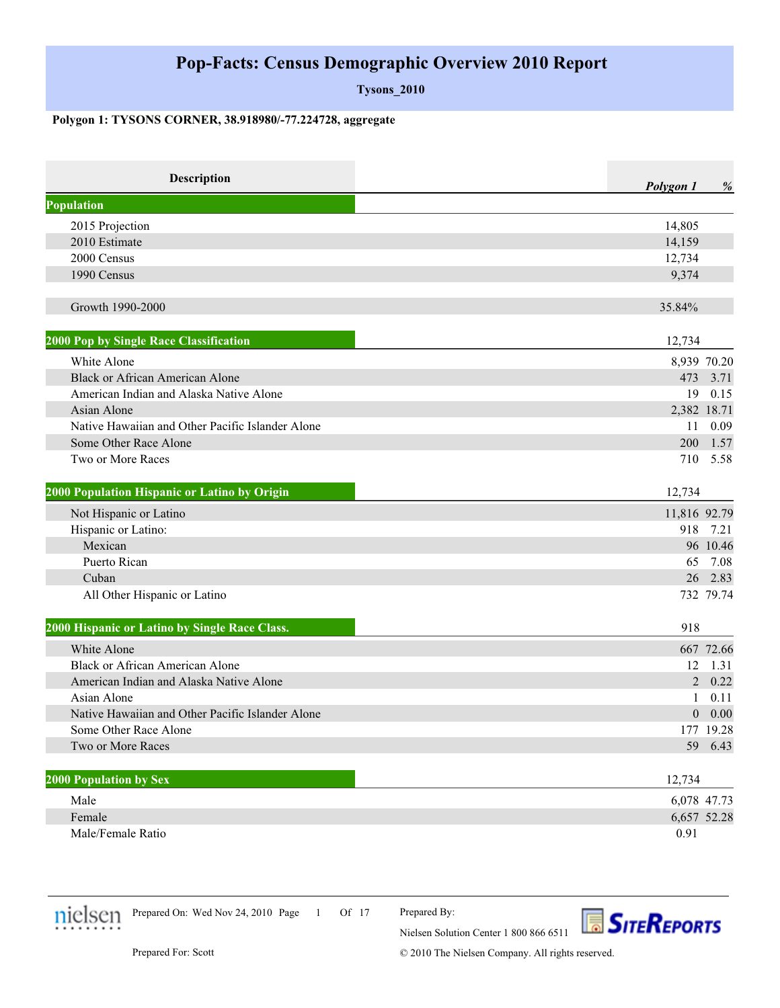**Tysons\_2010**

#### **Polygon 1: TYSONS CORNER, 38.918980/-77.224728, aggregate**

| <b>Description</b>                               | Polygon 1    | %           |
|--------------------------------------------------|--------------|-------------|
| <b>Population</b>                                |              |             |
| 2015 Projection                                  | 14,805       |             |
| 2010 Estimate                                    | 14,159       |             |
| 2000 Census                                      | 12,734       |             |
| 1990 Census                                      | 9,374        |             |
| Growth 1990-2000                                 | 35.84%       |             |
| 2000 Pop by Single Race Classification           | 12,734       |             |
| White Alone                                      |              | 8,939 70.20 |
| <b>Black or African American Alone</b>           | 473          | 3.71        |
| American Indian and Alaska Native Alone          | 19           | 0.15        |
| Asian Alone                                      |              | 2,382 18.71 |
| Native Hawaiian and Other Pacific Islander Alone | 11           | 0.09        |
| Some Other Race Alone                            | 200          | 1.57        |
| Two or More Races                                | 710          | 5.58        |
| 2000 Population Hispanic or Latino by Origin     | 12,734       |             |
| Not Hispanic or Latino                           | 11,816 92.79 |             |
| Hispanic or Latino:                              | 918          | 7.21        |
| Mexican                                          |              | 96 10.46    |
| Puerto Rican                                     | 65           | 7.08        |
| Cuban                                            | 26           | 2.83        |
| All Other Hispanic or Latino                     |              | 732 79.74   |
| 2000 Hispanic or Latino by Single Race Class.    | 918          |             |
| White Alone                                      |              | 667 72.66   |
| <b>Black or African American Alone</b>           | 12           | 1.31        |
| American Indian and Alaska Native Alone          |              | 20.22       |
| Asian Alone                                      | $\mathbf{1}$ | 0.11        |
| Native Hawaiian and Other Pacific Islander Alone |              | 0.00        |
| Some Other Race Alone                            |              | 177 19.28   |
| Two or More Races                                |              | 59 6.43     |
| <b>2000 Population by Sex</b>                    | 12,734       |             |
| Male                                             |              | 6,078 47.73 |
| Female                                           |              | 6,657 52.28 |
| Male/Female Ratio                                | 0.91         |             |



1 Of 17 Prepared On: Wed Nov 24, 2010 Page

Prepared By:

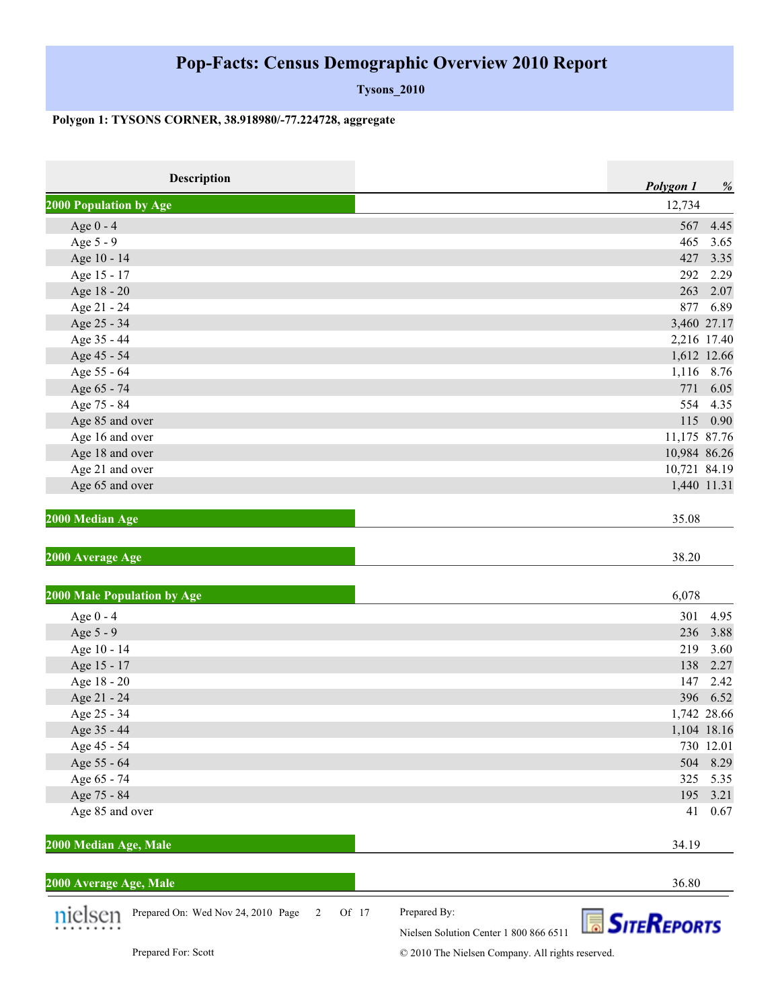**Tysons\_2010**

### **Polygon 1: TYSONS CORNER, 38.918980/-77.224728, aggregate**

| Description                                             | Polygon 1<br>%                                                               |
|---------------------------------------------------------|------------------------------------------------------------------------------|
| 2000 Population by Age                                  | 12,734                                                                       |
| Age $0 - 4$                                             | 4.45<br>567                                                                  |
| Age 5 - 9                                               | 465<br>3.65                                                                  |
| Age 10 - 14                                             | 427<br>3.35                                                                  |
| Age 15 - 17                                             | 2.29<br>292                                                                  |
| Age 18 - 20                                             | 263<br>2.07                                                                  |
| Age 21 - 24                                             | 877<br>6.89                                                                  |
| Age 25 - 34                                             | 3,460 27.17                                                                  |
| Age 35 - 44                                             | 2,216 17.40                                                                  |
| Age 45 - 54                                             | 1,612 12.66                                                                  |
| Age 55 - 64                                             | 1,116 8.76                                                                   |
| Age 65 - 74                                             | 771<br>6.05                                                                  |
| Age 75 - 84                                             | 554 4.35                                                                     |
| Age 85 and over                                         | 115 0.90                                                                     |
| Age 16 and over                                         | 11,175 87.76                                                                 |
| Age 18 and over                                         | 10,984 86.26                                                                 |
| Age 21 and over                                         | 10,721 84.19                                                                 |
| Age 65 and over                                         | 1,440 11.31                                                                  |
| 2000 Median Age                                         | 35.08                                                                        |
| 2000 Average Age<br>2000 Male Population by Age         | 38.20<br>6,078                                                               |
| Age 0 - 4                                               | 301<br>4.95                                                                  |
| Age 5 - 9                                               | 236<br>3.88                                                                  |
| Age 10 - 14                                             | 219<br>3.60                                                                  |
| Age 15 - 17                                             | 138<br>2.27                                                                  |
| Age 18 - 20                                             | 2.42<br>147                                                                  |
| Age 21 - 24                                             | 396<br>6.52                                                                  |
| Age 25 - 34                                             | 1,742 28.66                                                                  |
| Age 35 - 44                                             | 1,104 18.16                                                                  |
| Age 45 - 54                                             | 730 12.01                                                                    |
| Age 55 - 64                                             | 8.29<br>504                                                                  |
| Age 65 - 74                                             | 325<br>5.35                                                                  |
| Age 75 - 84                                             | 195<br>3.21                                                                  |
| Age 85 and over                                         | 41<br>0.67                                                                   |
| 2000 Median Age, Male                                   | 34.19                                                                        |
|                                                         |                                                                              |
| 2000 Average Age, Male                                  | 36.80                                                                        |
| Prepared On: Wed Nov 24, 2010 Page<br>Of 17<br>2<br>SPT | Prepared By:<br><b>SITEREPORTS</b><br>Nielsen Solution Center 1 800 866 6511 |
| Prepared For: Scott                                     | © 2010 The Nielsen Company. All rights reserved.                             |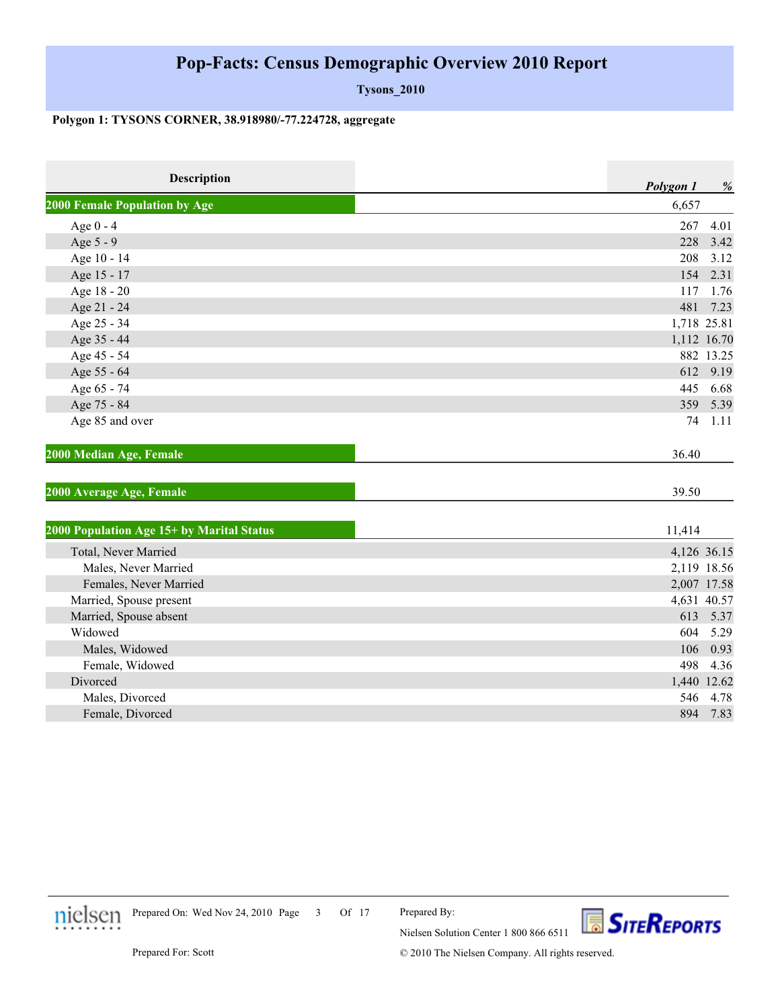**Tysons\_2010**

#### **Polygon 1: TYSONS CORNER, 38.918980/-77.224728, aggregate**

| <b>Description</b>                        | Polygon 1 | %           |
|-------------------------------------------|-----------|-------------|
| <b>2000 Female Population by Age</b>      | 6,657     |             |
| Age $0 - 4$                               | 267       | 4.01        |
| Age 5 - 9                                 | 228       | 3.42        |
| Age 10 - 14                               | 208       | 3.12        |
| Age 15 - 17                               | 154       | 2.31        |
| Age 18 - 20                               | 117       | 1.76        |
| Age 21 - 24                               | 481       | 7.23        |
| Age 25 - 34                               |           | 1,718 25.81 |
| Age 35 - 44                               |           | 1,112 16.70 |
| Age 45 - 54                               |           | 882 13.25   |
| Age 55 - 64                               |           | 612 9.19    |
| Age 65 - 74                               | 445       | 6.68        |
| Age 75 - 84                               | 359       | 5.39        |
| Age 85 and over                           | 74        | 1.11        |
| 2000 Median Age, Female                   | 36.40     |             |
| 2000 Average Age, Female                  | 39.50     |             |
| 2000 Population Age 15+ by Marital Status | 11,414    |             |
| Total, Never Married                      |           | 4,126 36.15 |
| Males, Never Married                      |           | 2,119 18.56 |
| Females, Never Married                    |           | 2,007 17.58 |
| Married, Spouse present                   |           | 4,631 40.57 |
| Married, Spouse absent                    |           | 613 5.37    |
| Widowed                                   | 604       | 5.29        |
| Males, Widowed                            | 106       | 0.93        |
| Female, Widowed                           | 498       | 4.36        |
| Divorced                                  |           | 1,440 12.62 |
| Males, Divorced                           |           | 546 4.78    |
| Female, Divorced                          |           | 894 7.83    |



Prepared On: Wed Nov 24, 2010 Page 3 Of 17

Prepared By:

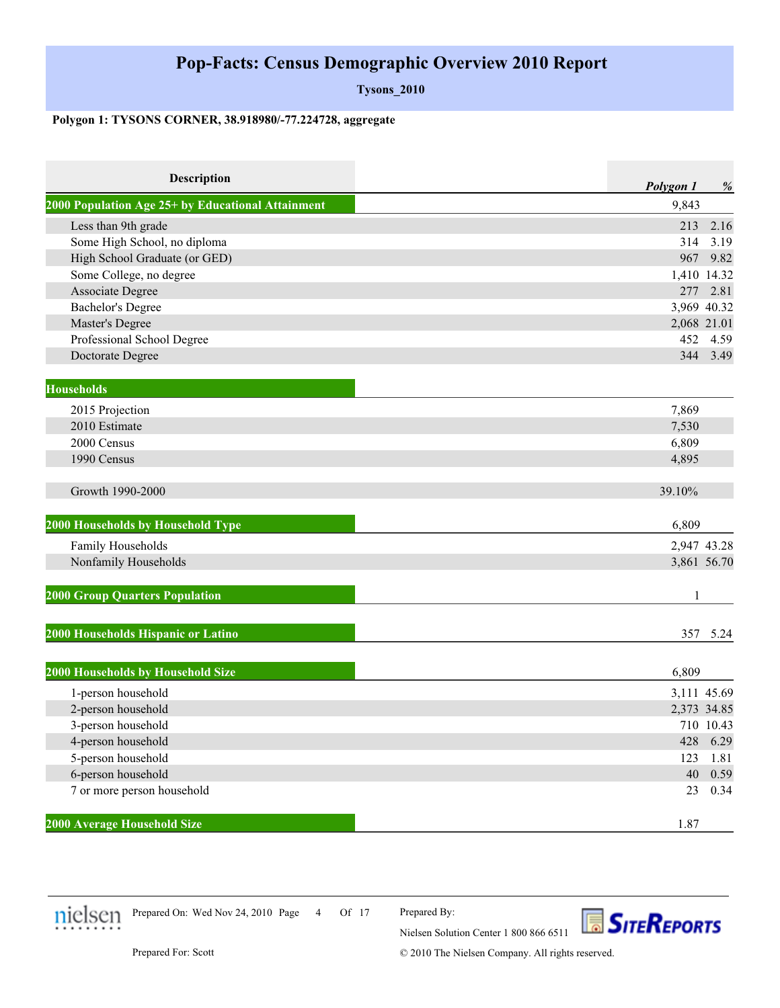**Tysons\_2010**

#### **Polygon 1: TYSONS CORNER, 38.918980/-77.224728, aggregate**

| <b>Description</b>                                | Polygon 1 | %           |
|---------------------------------------------------|-----------|-------------|
| 2000 Population Age 25+ by Educational Attainment | 9,843     |             |
| Less than 9th grade                               | 213       | 2.16        |
| Some High School, no diploma                      | 314       | 3.19        |
| High School Graduate (or GED)                     | 967       | 9.82        |
| Some College, no degree                           |           | 1,410 14.32 |
| Associate Degree                                  | 277       | 2.81        |
| <b>Bachelor's Degree</b>                          |           | 3,969 40.32 |
| Master's Degree                                   |           | 2,068 21.01 |
| Professional School Degree                        | 452       | 4.59        |
| Doctorate Degree                                  |           | 344 3.49    |
|                                                   |           |             |
| <b>Households</b>                                 |           |             |
| 2015 Projection                                   | 7,869     |             |
| 2010 Estimate                                     | 7,530     |             |
| 2000 Census                                       | 6,809     |             |
| 1990 Census                                       | 4,895     |             |
| Growth 1990-2000                                  | 39.10%    |             |
| 2000 Households by Household Type                 | 6,809     |             |
| Family Households                                 |           | 2,947 43.28 |
| Nonfamily Households                              |           | 3,861 56.70 |
| <b>2000 Group Quarters Population</b>             | 1         |             |
| 2000 Households Hispanic or Latino                |           | 357 5.24    |
|                                                   |           |             |
| 2000 Households by Household Size                 | 6,809     |             |
| 1-person household                                |           | 3,111 45.69 |
| 2-person household                                |           | 2,373 34.85 |
| 3-person household                                |           | 710 10.43   |
| 4-person household                                | 428       | 6.29        |
| 5-person household                                | 123       | 1.81        |
| 6-person household                                | 40        | 0.59        |
| 7 or more person household                        | 23        | 0.34        |
| 2000 Average Household Size                       | 1.87      |             |



Prepared On: Wed Nov 24, 2010 Page 4 Of 17

Prepared By:

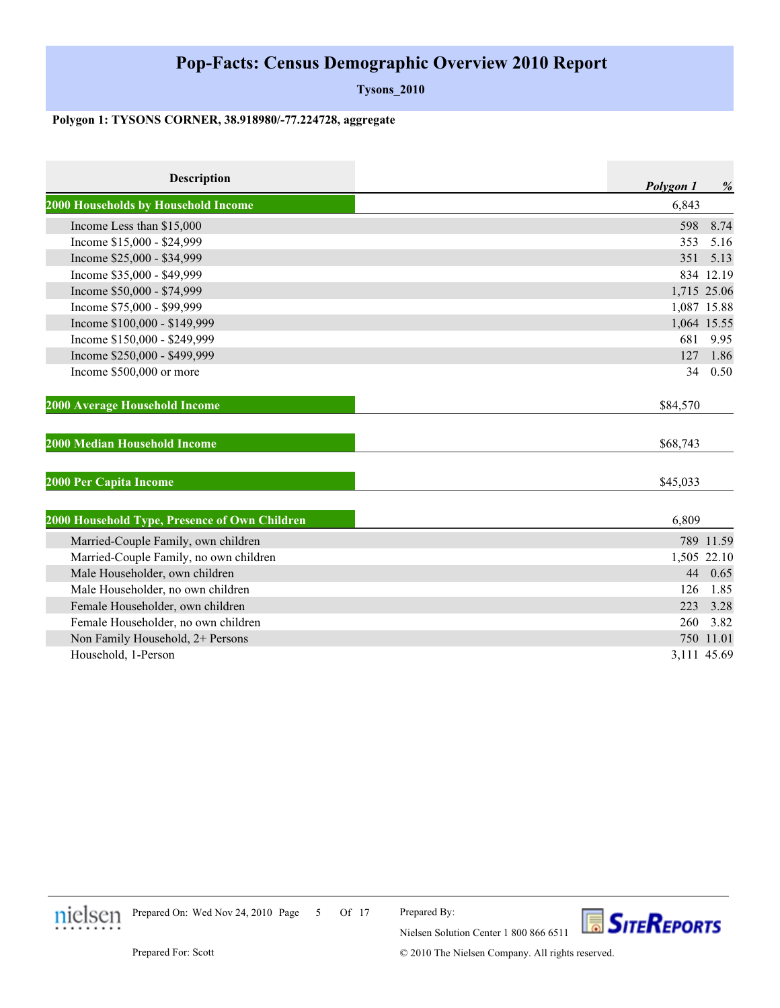**Tysons\_2010**

#### **Polygon 1: TYSONS CORNER, 38.918980/-77.224728, aggregate**

| <b>Description</b>                            | Polygon 1   | %         |
|-----------------------------------------------|-------------|-----------|
| 2000 Households by Household Income           | 6,843       |           |
| Income Less than \$15,000                     | 598         | 8.74      |
| Income \$15,000 - \$24,999                    | 353         | 5.16      |
| Income \$25,000 - \$34,999                    | 351         | 5.13      |
| Income \$35,000 - \$49,999                    |             | 834 12.19 |
| Income \$50,000 - \$74,999                    | 1,715 25.06 |           |
| Income \$75,000 - \$99,999                    | 1,087 15.88 |           |
| Income \$100,000 - \$149,999                  | 1,064 15.55 |           |
| Income \$150,000 - \$249,999                  | 681         | 9.95      |
| Income \$250,000 - \$499,999                  | 127         | 1.86      |
| Income \$500,000 or more                      | 34          | 0.50      |
| 2000 Average Household Income                 | \$84,570    |           |
| 2000 Median Household Income                  | \$68,743    |           |
| 2000 Per Capita Income                        | \$45,033    |           |
| 2000 Household Type, Presence of Own Children | 6,809       |           |
| Married-Couple Family, own children           |             | 789 11.59 |
| Married-Couple Family, no own children        | 1,505 22.10 |           |
| Male Householder, own children                |             | 44 0.65   |
| Male Householder, no own children             | 126         | 1.85      |
| Female Householder, own children              | 223         | 3.28      |
| Female Householder, no own children           | 260         | 3.82      |
| Non Family Household, 2+ Persons              |             | 750 11.01 |
| Household, 1-Person                           | 3,111 45.69 |           |



Prepared On: Wed Nov 24, 2010 Page 5 Of 17

Prepared By:

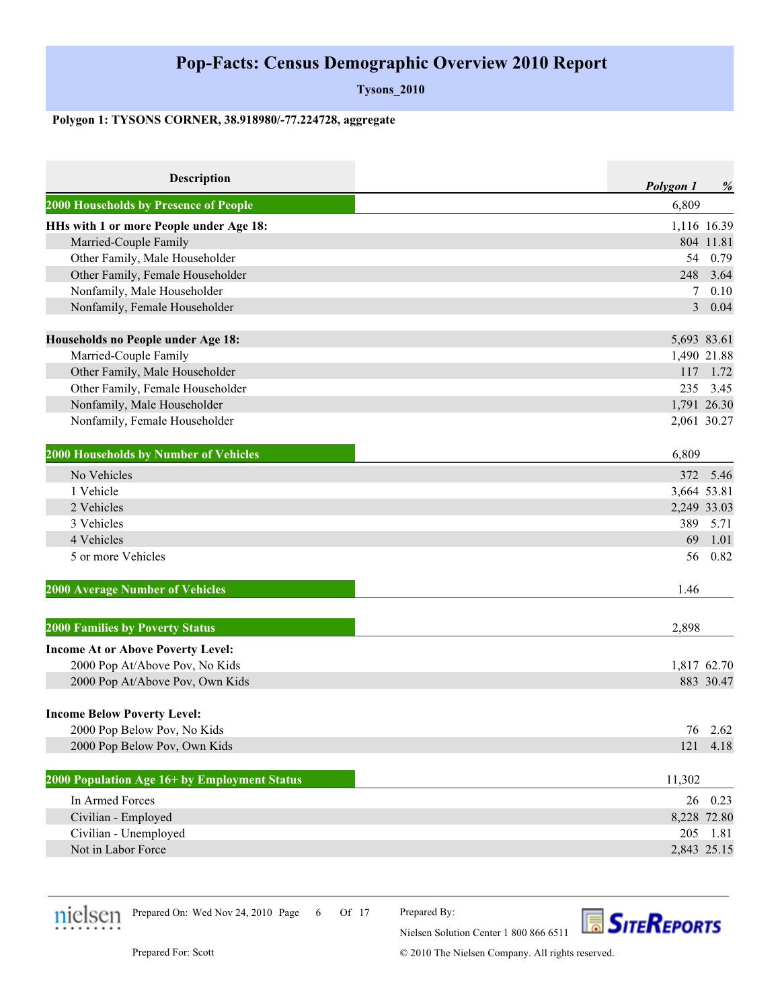**Tysons\_2010**

#### **Polygon 1: TYSONS CORNER, 38.918980/-77.224728, aggregate**

| <b>Description</b>                           | Polygon 1<br>% |
|----------------------------------------------|----------------|
| 2000 Households by Presence of People        | 6,809          |
| HHs with 1 or more People under Age 18:      | 1,116 16.39    |
| Married-Couple Family                        | 804 11.81      |
| Other Family, Male Householder               | 54<br>0.79     |
| Other Family, Female Householder             | 248<br>3.64    |
| Nonfamily, Male Householder                  | 0.10<br>7      |
| Nonfamily, Female Householder                | 3 0.04         |
| Households no People under Age 18:           | 5,693 83.61    |
| Married-Couple Family                        | 1,490 21.88    |
| Other Family, Male Householder               | 117 1.72       |
| Other Family, Female Householder             | 235<br>3.45    |
| Nonfamily, Male Householder                  | 1,791 26.30    |
| Nonfamily, Female Householder                | 2,061 30.27    |
| 2000 Households by Number of Vehicles        | 6,809          |
| No Vehicles                                  | 5.46<br>372    |
| 1 Vehicle                                    | 3,664 53.81    |
| 2 Vehicles                                   | 2,249 33.03    |
| 3 Vehicles                                   | 389<br>5.71    |
| 4 Vehicles                                   | 69<br>1.01     |
| 5 or more Vehicles                           | 56<br>0.82     |
| <b>2000 Average Number of Vehicles</b>       | 1.46           |
| <b>2000 Families by Poverty Status</b>       | 2,898          |
| <b>Income At or Above Poverty Level:</b>     |                |
| 2000 Pop At/Above Pov, No Kids               | 1,817 62.70    |
| 2000 Pop At/Above Pov, Own Kids              | 883 30.47      |
| <b>Income Below Poverty Level:</b>           |                |
| 2000 Pop Below Pov, No Kids                  | 76 2.62        |
| 2000 Pop Below Pov, Own Kids                 | 121<br>4.18    |
| 2000 Population Age 16+ by Employment Status | 11,302         |
| In Armed Forces                              | 0.23<br>26     |
| Civilian - Employed                          | 8,228 72.80    |
| Civilian - Unemployed                        | 205<br>1.81    |
| Not in Labor Force                           | 2,843 25.15    |



Prepared On: Wed Nov 24, 2010 Page 6 Of 17

Prepared By:

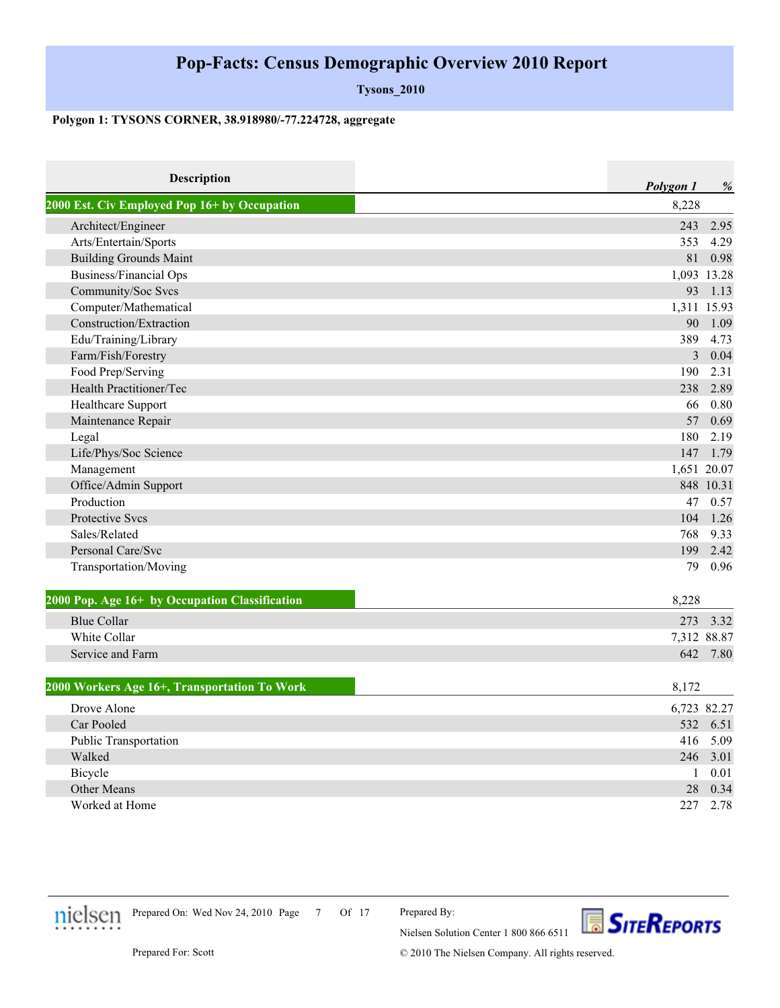**Tysons\_2010**

#### **Polygon 1: TYSONS CORNER, 38.918980/-77.224728, aggregate**

| Description                                    | Polygon 1      | %         |
|------------------------------------------------|----------------|-----------|
| 2000 Est. Civ Employed Pop 16+ by Occupation   | 8,228          |           |
| Architect/Engineer                             | 243            | 2.95      |
| Arts/Entertain/Sports                          | 353            | 4.29      |
| <b>Building Grounds Maint</b>                  | 81             | 0.98      |
| <b>Business/Financial Ops</b>                  | 1,093 13.28    |           |
| Community/Soc Svcs                             | 93             | 1.13      |
| Computer/Mathematical                          | 1,311 15.93    |           |
| Construction/Extraction                        | 90             | 1.09      |
| Edu/Training/Library                           | 389            | 4.73      |
| Farm/Fish/Forestry                             | $\overline{3}$ | 0.04      |
| Food Prep/Serving                              | 190            | 2.31      |
| Health Practitioner/Tec                        | 238            | 2.89      |
| Healthcare Support                             | 66             | 0.80      |
| Maintenance Repair                             | 57             | 0.69      |
| Legal                                          | 180            | 2.19      |
| Life/Phys/Soc Science                          | 147            | 1.79      |
| Management                                     | 1,651 20.07    |           |
| Office/Admin Support                           |                | 848 10.31 |
| Production                                     | 47             | 0.57      |
| <b>Protective Sycs</b>                         | 104            | 1.26      |
| Sales/Related                                  | 768            | 9.33      |
| Personal Care/Svc                              | 199            | 2.42      |
| Transportation/Moving                          | 79             | 0.96      |
| 2000 Pop. Age 16+ by Occupation Classification | 8,228          |           |
| <b>Blue Collar</b>                             | 273            | 3.32      |
| White Collar                                   | 7,312 88.87    |           |
| Service and Farm                               |                | 642 7.80  |
| 2000 Workers Age 16+, Transportation To Work   | 8,172          |           |
| Drove Alone                                    | 6,723 82.27    |           |
| Car Pooled                                     | 532            | 6.51      |
| Public Transportation                          | 416            | 5.09      |
| Walked                                         | 246            | 3.01      |
| Bicycle                                        | $\mathbf{1}$   | 0.01      |
| Other Means                                    | 28             | 0.34      |
| Worked at Home                                 | 227            | 2.78      |



Prepared On: Wed Nov 24, 2010 Page 7 Of 17

Prepared By:

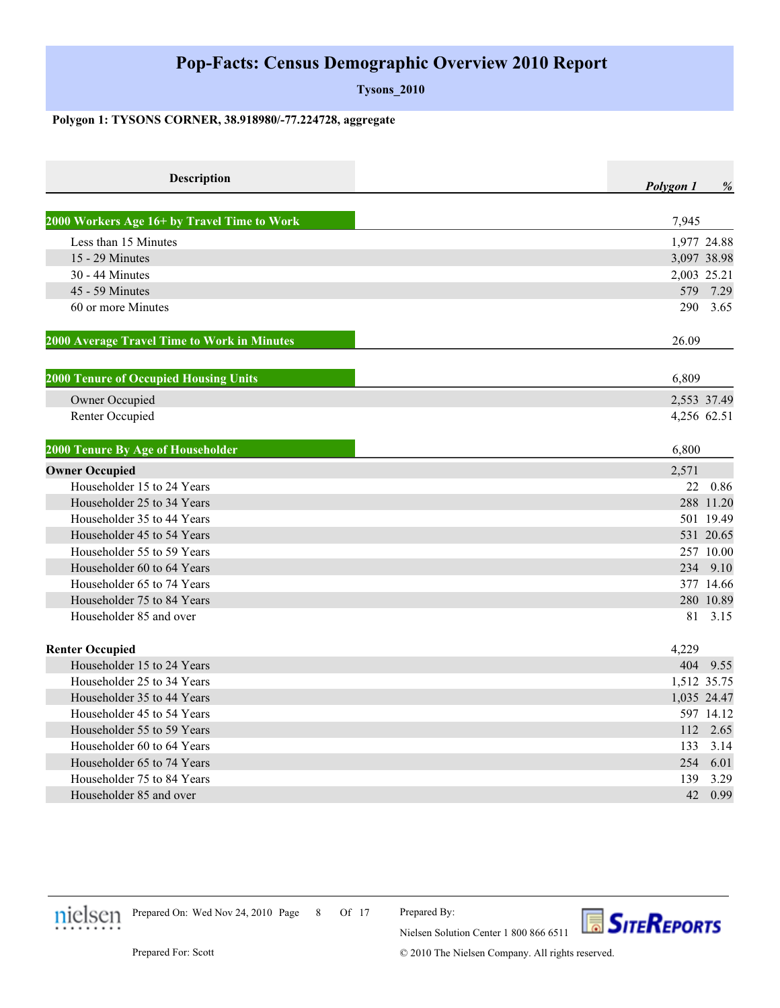**Tysons\_2010**

#### **Polygon 1: TYSONS CORNER, 38.918980/-77.224728, aggregate**

| <b>Description</b>                           | Polygon 1   | $\%$      |
|----------------------------------------------|-------------|-----------|
| 2000 Workers Age 16+ by Travel Time to Work  | 7,945       |           |
| Less than 15 Minutes                         | 1,977 24.88 |           |
| 15 - 29 Minutes                              | 3,097 38.98 |           |
| 30 - 44 Minutes                              | 2,003 25.21 |           |
| 45 - 59 Minutes                              | 579         | 7.29      |
| 60 or more Minutes                           | 290         | 3.65      |
| 2000 Average Travel Time to Work in Minutes  | 26.09       |           |
| <b>2000 Tenure of Occupied Housing Units</b> | 6,809       |           |
| Owner Occupied                               | 2,553 37.49 |           |
| Renter Occupied                              | 4,256 62.51 |           |
| 2000 Tenure By Age of Householder            | 6,800       |           |
| <b>Owner Occupied</b>                        | 2,571       |           |
| Householder 15 to 24 Years                   | 22          | 0.86      |
| Householder 25 to 34 Years                   |             | 288 11.20 |
| Householder 35 to 44 Years                   |             | 501 19.49 |
| Householder 45 to 54 Years                   |             | 531 20.65 |
| Householder 55 to 59 Years                   |             | 257 10.00 |
| Householder 60 to 64 Years                   |             | 234 9.10  |
| Householder 65 to 74 Years                   |             | 377 14.66 |
| Householder 75 to 84 Years                   |             | 280 10.89 |
| Householder 85 and over                      |             | 81 3.15   |
| <b>Renter Occupied</b>                       | 4,229       |           |
| Householder 15 to 24 Years                   | 404         | 9.55      |
| Householder 25 to 34 Years                   | 1,512 35.75 |           |
| Householder 35 to 44 Years                   | 1,035 24.47 |           |
| Householder 45 to 54 Years                   |             | 597 14.12 |
| Householder 55 to 59 Years                   |             | 112 2.65  |
| Householder 60 to 64 Years                   | 133         | 3.14      |
| Householder 65 to 74 Years                   | 254         | 6.01      |
| Householder 75 to 84 Years                   | 139         | 3.29      |
| Householder 85 and over                      | 42          | 0.99      |



Prepared On: Wed Nov 24, 2010 Page 8 Of 17

Prepared By:

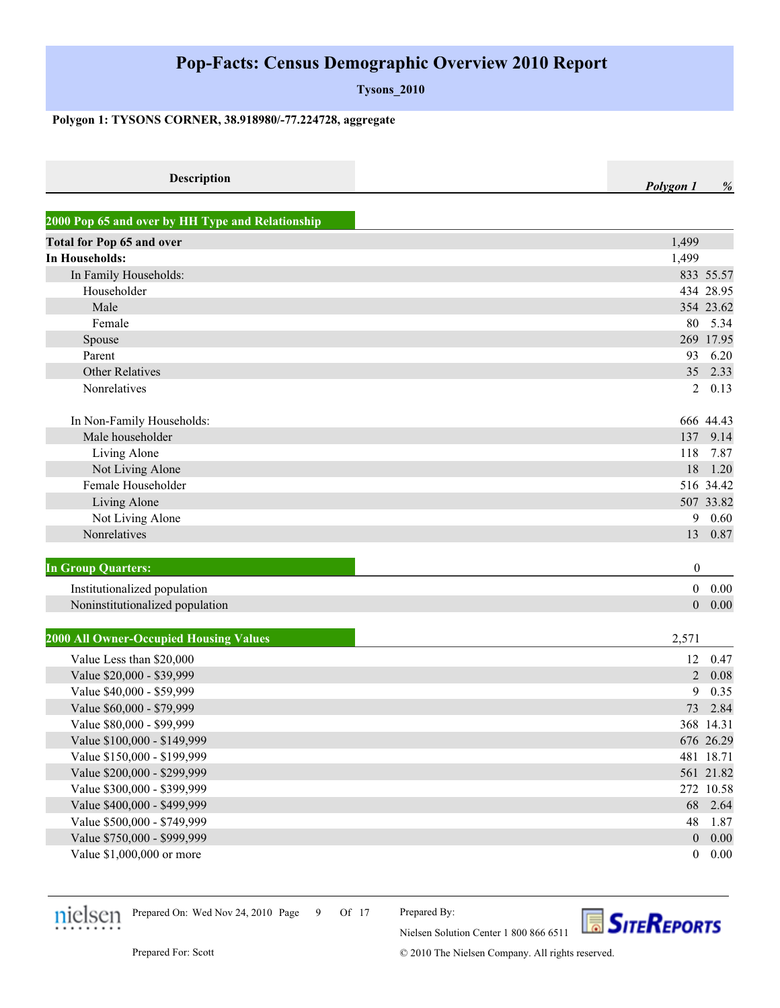**Tysons\_2010**

#### **Polygon 1: TYSONS CORNER, 38.918980/-77.224728, aggregate**

| Descrin |  | % |
|---------|--|---|
|         |  |   |

| 2000 Pop 65 and over by HH Type and Relationship |                  |           |
|--------------------------------------------------|------------------|-----------|
| <b>Total for Pop 65 and over</b>                 | 1,499            |           |
| <b>In Households:</b>                            | 1,499            |           |
| In Family Households:                            |                  | 833 55.57 |
| Householder                                      |                  | 434 28.95 |
| Male                                             |                  | 354 23.62 |
| Female                                           | 80               | 5.34      |
| Spouse                                           |                  | 269 17.95 |
| Parent                                           | 93               | 6.20      |
| <b>Other Relatives</b>                           | 35               | 2.33      |
| Nonrelatives                                     | 2                | 0.13      |
| In Non-Family Households:                        |                  | 666 44.43 |
| Male householder                                 | 137              | 9.14      |
| Living Alone                                     | 118              | 7.87      |
| Not Living Alone                                 | 18               | 1.20      |
| Female Householder                               |                  | 516 34.42 |
| Living Alone                                     |                  | 507 33.82 |
| Not Living Alone                                 | 9                | 0.60      |
| Nonrelatives                                     | 13               | 0.87      |
| <b>In Group Quarters:</b>                        | $\boldsymbol{0}$ |           |
| Institutionalized population                     | $\boldsymbol{0}$ | 0.00      |
| Noninstitutionalized population                  | $\boldsymbol{0}$ | 0.00      |
| <b>2000 All Owner-Occupied Housing Values</b>    | 2,571            |           |
| Value Less than \$20,000                         | 12               | 0.47      |
| Value \$20,000 - \$39,999                        | $\overline{2}$   | 0.08      |
| Value \$40,000 - \$59,999                        | 9                | 0.35      |
| Value \$60,000 - \$79,999                        | 73               | 2.84      |
| Value \$80,000 - \$99,999                        |                  | 368 14.31 |
| Value \$100,000 - \$149,999                      |                  | 676 26.29 |
| Value \$150,000 - \$199,999                      |                  | 481 18.71 |
| Value \$200,000 - \$299,999                      |                  | 561 21.82 |
| Value \$300,000 - \$399,999                      |                  | 272 10.58 |
| Value \$400,000 - \$499,999                      | 68               | 2.64      |
| Value \$500,000 - \$749,999                      | 48               | 1.87      |
| Value \$750,000 - \$999,999                      | $\theta$         | 0.00      |

Value \$1,000,000 or more 0 0.00



Prepared On: Wed Nov 24, 2010 Page 9 Of 17

Prepared By: